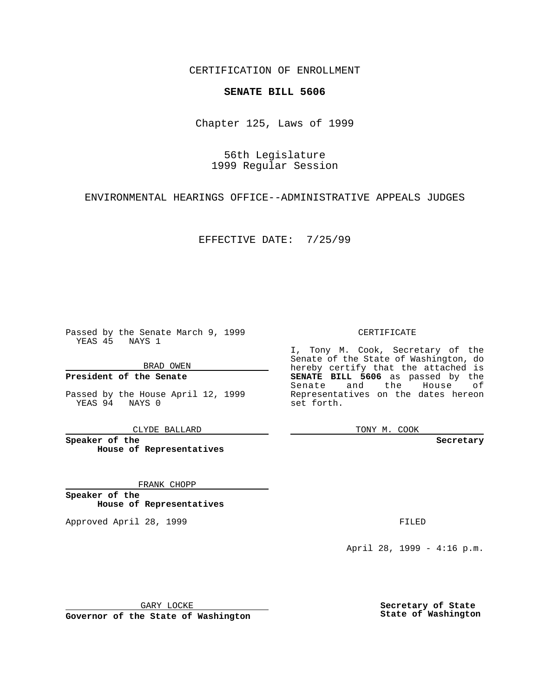CERTIFICATION OF ENROLLMENT

## **SENATE BILL 5606**

Chapter 125, Laws of 1999

56th Legislature 1999 Regular Session

ENVIRONMENTAL HEARINGS OFFICE--ADMINISTRATIVE APPEALS JUDGES

EFFECTIVE DATE: 7/25/99

Passed by the Senate March 9, 1999 YEAS 45 NAYS 1

BRAD OWEN

**President of the Senate**

Passed by the House April 12, 1999 YEAS 94 NAYS 0

CLYDE BALLARD

**Speaker of the House of Representatives**

FRANK CHOPP

**Speaker of the House of Representatives**

Approved April 28, 1999 **FILED** 

CERTIFICATE

I, Tony M. Cook, Secretary of the Senate of the State of Washington, do hereby certify that the attached is **SENATE BILL 5606** as passed by the Senate and the House of Representatives on the dates hereon set forth.

TONY M. COOK

**Secretary**

April 28, 1999 - 4:16 p.m.

GARY LOCKE

**Governor of the State of Washington**

**Secretary of State State of Washington**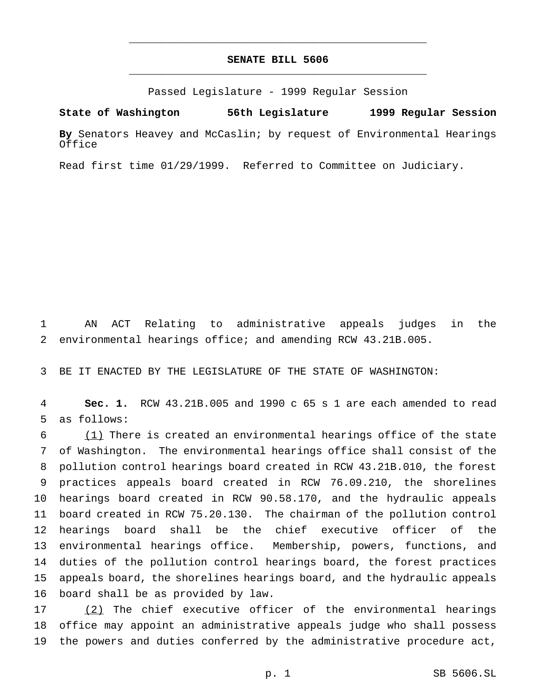## **SENATE BILL 5606** \_\_\_\_\_\_\_\_\_\_\_\_\_\_\_\_\_\_\_\_\_\_\_\_\_\_\_\_\_\_\_\_\_\_\_\_\_\_\_\_\_\_\_\_\_\_\_

\_\_\_\_\_\_\_\_\_\_\_\_\_\_\_\_\_\_\_\_\_\_\_\_\_\_\_\_\_\_\_\_\_\_\_\_\_\_\_\_\_\_\_\_\_\_\_

Passed Legislature - 1999 Regular Session

**State of Washington 56th Legislature 1999 Regular Session**

**By** Senators Heavey and McCaslin; by request of Environmental Hearings Office

Read first time 01/29/1999. Referred to Committee on Judiciary.

 AN ACT Relating to administrative appeals judges in the environmental hearings office; and amending RCW 43.21B.005.

BE IT ENACTED BY THE LEGISLATURE OF THE STATE OF WASHINGTON:

 **Sec. 1.** RCW 43.21B.005 and 1990 c 65 s 1 are each amended to read as follows:

 (1) There is created an environmental hearings office of the state of Washington. The environmental hearings office shall consist of the pollution control hearings board created in RCW 43.21B.010, the forest practices appeals board created in RCW 76.09.210, the shorelines hearings board created in RCW 90.58.170, and the hydraulic appeals board created in RCW 75.20.130. The chairman of the pollution control hearings board shall be the chief executive officer of the environmental hearings office. Membership, powers, functions, and duties of the pollution control hearings board, the forest practices appeals board, the shorelines hearings board, and the hydraulic appeals board shall be as provided by law.

 (2) The chief executive officer of the environmental hearings office may appoint an administrative appeals judge who shall possess the powers and duties conferred by the administrative procedure act,